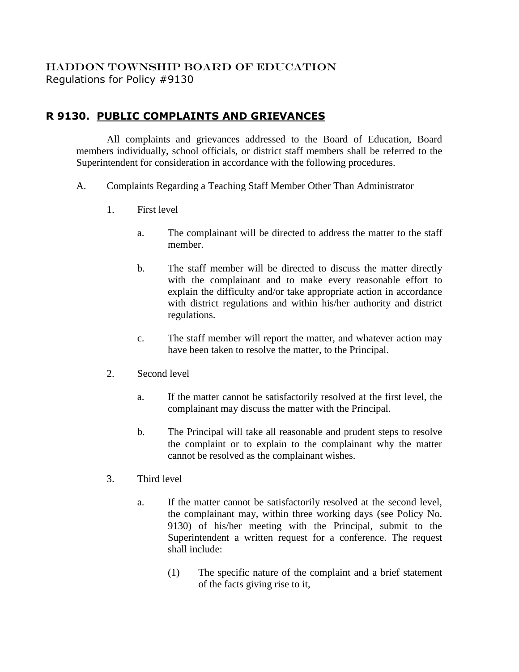## HADDON TOWNSHIP BOARD OF EDUCATION Regulations for Policy #9130

## **R 9130. PUBLIC COMPLAINTS AND GRIEVANCES**

All complaints and grievances addressed to the Board of Education, Board members individually, school officials, or district staff members shall be referred to the Superintendent for consideration in accordance with the following procedures.

- A. Complaints Regarding a Teaching Staff Member Other Than Administrator
	- 1. First level
		- a. The complainant will be directed to address the matter to the staff member.
		- b. The staff member will be directed to discuss the matter directly with the complainant and to make every reasonable effort to explain the difficulty and/or take appropriate action in accordance with district regulations and within his/her authority and district regulations.
		- c. The staff member will report the matter, and whatever action may have been taken to resolve the matter, to the Principal.
	- 2. Second level
		- a. If the matter cannot be satisfactorily resolved at the first level, the complainant may discuss the matter with the Principal.
		- b. The Principal will take all reasonable and prudent steps to resolve the complaint or to explain to the complainant why the matter cannot be resolved as the complainant wishes.
	- 3. Third level
		- a. If the matter cannot be satisfactorily resolved at the second level, the complainant may, within three working days (see Policy No. 9130) of his/her meeting with the Principal, submit to the Superintendent a written request for a conference. The request shall include:
			- (1) The specific nature of the complaint and a brief statement of the facts giving rise to it,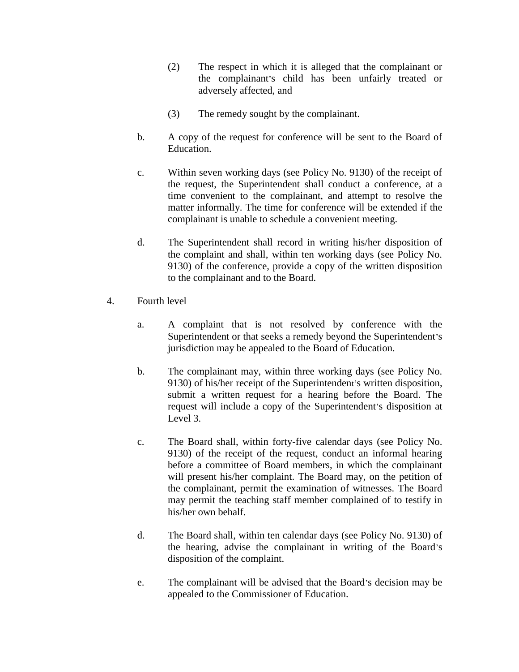- (2) The respect in which it is alleged that the complainant or the complainant's child has been unfairly treated or adversely affected, and
- (3) The remedy sought by the complainant.
- b. A copy of the request for conference will be sent to the Board of Education.
- c. Within seven working days (see Policy No. 9130) of the receipt of the request, the Superintendent shall conduct a conference, at a time convenient to the complainant, and attempt to resolve the matter informally. The time for conference will be extended if the complainant is unable to schedule a convenient meeting.
- d. The Superintendent shall record in writing his/her disposition of the complaint and shall, within ten working days (see Policy No. 9130) of the conference, provide a copy of the written disposition to the complainant and to the Board.
- 4. Fourth level
	- a. A complaint that is not resolved by conference with the Superintendent or that seeks a remedy beyond the Superintendent's jurisdiction may be appealed to the Board of Education.
	- b. The complainant may, within three working days (see Policy No. 9130) of his/her receipt of the Superintendent's written disposition, submit a written request for a hearing before the Board. The request will include a copy of the Superintendent's disposition at Level 3.
	- c. The Board shall, within forty-five calendar days (see Policy No. 9130) of the receipt of the request, conduct an informal hearing before a committee of Board members, in which the complainant will present his/her complaint. The Board may, on the petition of the complainant, permit the examination of witnesses. The Board may permit the teaching staff member complained of to testify in his/her own behalf.
	- d. The Board shall, within ten calendar days (see Policy No. 9130) of the hearing, advise the complainant in writing of the Board's disposition of the complaint.
	- e. The complainant will be advised that the Board's decision may be appealed to the Commissioner of Education.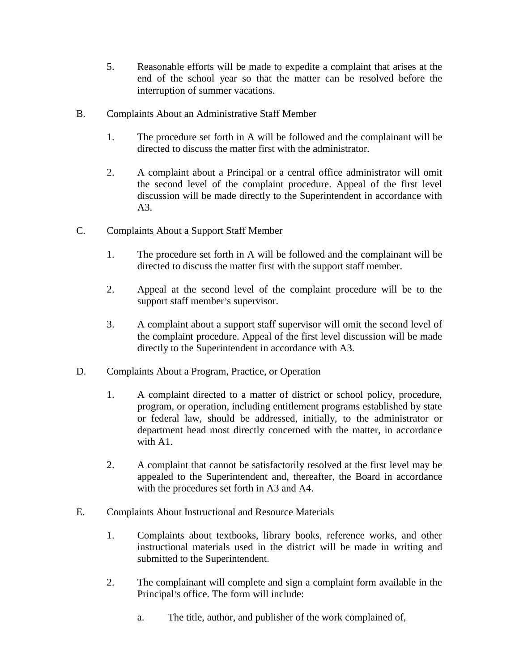- 5. Reasonable efforts will be made to expedite a complaint that arises at the end of the school year so that the matter can be resolved before the interruption of summer vacations.
- B. Complaints About an Administrative Staff Member
	- 1. The procedure set forth in A will be followed and the complainant will be directed to discuss the matter first with the administrator.
	- 2. A complaint about a Principal or a central office administrator will omit the second level of the complaint procedure. Appeal of the first level discussion will be made directly to the Superintendent in accordance with A3.
- C. Complaints About a Support Staff Member
	- 1. The procedure set forth in A will be followed and the complainant will be directed to discuss the matter first with the support staff member.
	- 2. Appeal at the second level of the complaint procedure will be to the support staff member's supervisor.
	- 3. A complaint about a support staff supervisor will omit the second level of the complaint procedure. Appeal of the first level discussion will be made directly to the Superintendent in accordance with A3.
- D. Complaints About a Program, Practice, or Operation
	- 1. A complaint directed to a matter of district or school policy, procedure, program, or operation, including entitlement programs established by state or federal law, should be addressed, initially, to the administrator or department head most directly concerned with the matter, in accordance with A1.
	- 2. A complaint that cannot be satisfactorily resolved at the first level may be appealed to the Superintendent and, thereafter, the Board in accordance with the procedures set forth in A3 and A4.
- E. Complaints About Instructional and Resource Materials
	- 1. Complaints about textbooks, library books, reference works, and other instructional materials used in the district will be made in writing and submitted to the Superintendent.
	- 2. The complainant will complete and sign a complaint form available in the Principal's office. The form will include:
		- a. The title, author, and publisher of the work complained of,